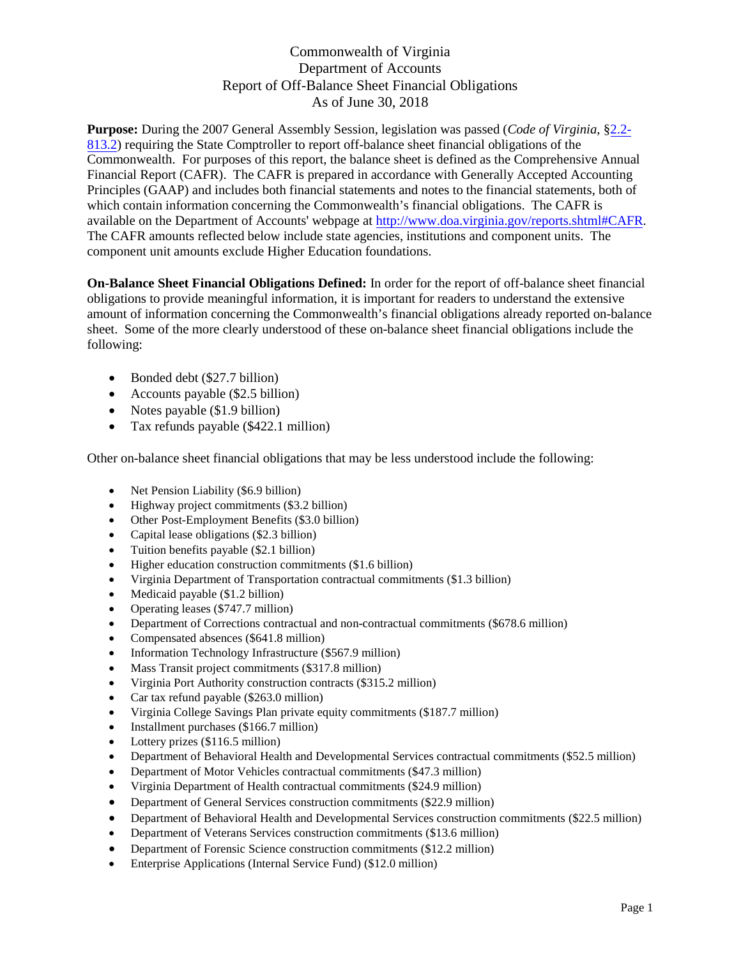**Purpose:** During the 2007 General Assembly Session, legislation was passed (*Code of Virginia*, [§2.2-](https://law.lis.virginia.gov/vacode/title2.2/chapter8/section2.2-813.2/) [813.2\)](https://law.lis.virginia.gov/vacode/title2.2/chapter8/section2.2-813.2/) requiring the State Comptroller to report off-balance sheet financial obligations of the Commonwealth. For purposes of this report, the balance sheet is defined as the Comprehensive Annual Financial Report (CAFR). The CAFR is prepared in accordance with Generally Accepted Accounting Principles (GAAP) and includes both financial statements and notes to the financial statements, both of which contain information concerning the Commonwealth's financial obligations. The CAFR is available on the Department of Accounts' w[ebpage at http://www.doa.virginia.gov/reports.shtm](http://www.doa.virginia.gov/reports.shtml#CAFR)l#CAFR. The CAFR amounts reflected below include state agencies, institutions and component units. The component unit amounts exclude Higher Education foundations.

**On-Balance Sheet Financial Obligations Defined:** In order for the report of off-balance sheet financial obligations to provide meaningful information, it is important for readers to understand the extensive amount of information concerning the Commonwealth's financial obligations already reported on-balance sheet. Some of the more clearly understood of these on-balance sheet financial obligations include the following:

- Bonded debt (\$27.7 billion)
- Accounts payable (\$2.5 billion)
- Notes payable (\$1.9 billion)
- Tax refunds payable (\$422.1 million)

Other on-balance sheet financial obligations that may be less understood include the following:

- Net Pension Liability (\$6.9 billion)
- Highway project commitments (\$3.2 billion)
- Other Post-Employment Benefits (\$3.0 billion)
- Capital lease obligations (\$2.3 billion)
- Tuition benefits payable (\$2.1 billion)
- Higher education construction commitments (\$1.6 billion)
- Virginia Department of Transportation contractual commitments (\$1.3 billion)
- Medicaid payable (\$1.2 billion)
- Operating leases (\$747.7 million)
- Department of Corrections contractual and non-contractual commitments (\$678.6 million)
- Compensated absences (\$641.8 million)
- Information Technology Infrastructure (\$567.9 million)
- Mass Transit project commitments (\$317.8 million)
- Virginia Port Authority construction contracts (\$315.2 million)
- Car tax refund payable (\$263.0 million)
- Virginia College Savings Plan private equity commitments (\$187.7 million)
- Installment purchases (\$166.7 million)
- Lottery prizes (\$116.5 million)
- Department of Behavioral Health and Developmental Services contractual commitments (\$52.5 million)
- Department of Motor Vehicles contractual commitments (\$47.3 million)
- Virginia Department of Health contractual commitments (\$24.9 million)
- Department of General Services construction commitments (\$22.9 million)
- Department of Behavioral Health and Developmental Services construction commitments (\$22.5 million)
- Department of Veterans Services construction commitments (\$13.6 million)
- Department of Forensic Science construction commitments (\$12.2 million)
- Enterprise Applications (Internal Service Fund) (\$12.0 million)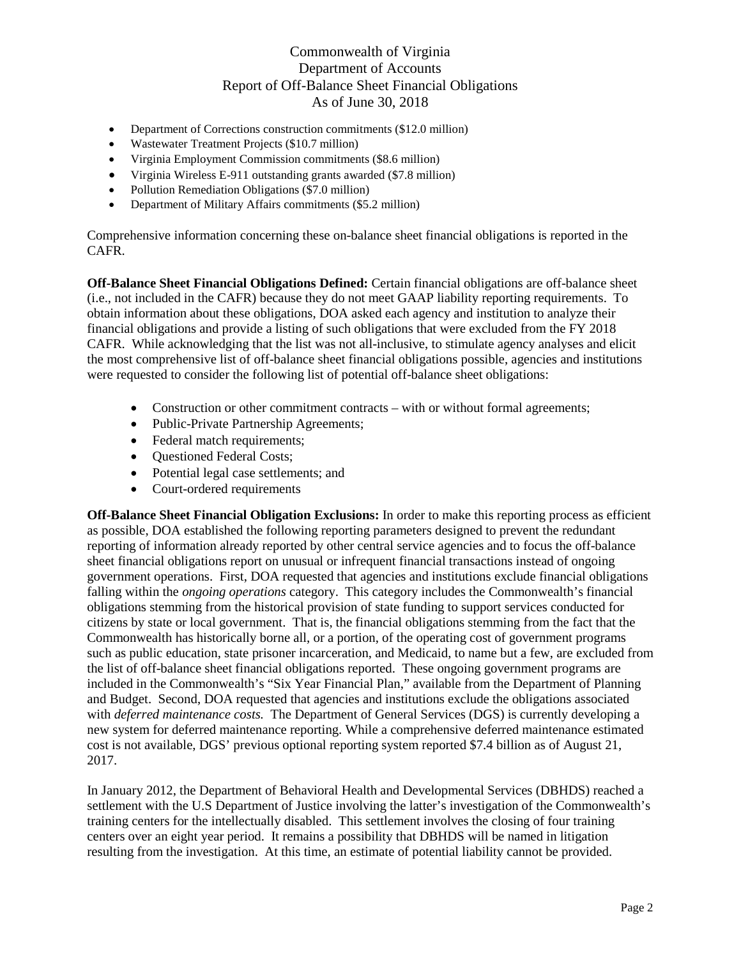- Department of Corrections construction commitments (\$12.0 million)
- Wastewater Treatment Projects (\$10.7 million)
- Virginia Employment Commission commitments (\$8.6 million)
- Virginia Wireless E-911 outstanding grants awarded (\$7.8 million)
- Pollution Remediation Obligations (\$7.0 million)
- Department of Military Affairs commitments (\$5.2 million)

Comprehensive information concerning these on-balance sheet financial obligations is reported in the CAFR.

**Off-Balance Sheet Financial Obligations Defined:** Certain financial obligations are off-balance sheet (i.e., not included in the CAFR) because they do not meet GAAP liability reporting requirements. To obtain information about these obligations, DOA asked each agency and institution to analyze their financial obligations and provide a listing of such obligations that were excluded from the FY 2018 CAFR. While acknowledging that the list was not all-inclusive, to stimulate agency analyses and elicit the most comprehensive list of off-balance sheet financial obligations possible, agencies and institutions were requested to consider the following list of potential off-balance sheet obligations:

- Construction or other commitment contracts with or without formal agreements;
- Public-Private Partnership Agreements;
- Federal match requirements;
- **Questioned Federal Costs;**
- Potential legal case settlements; and
- Court-ordered requirements

**Off-Balance Sheet Financial Obligation Exclusions:** In order to make this reporting process as efficient as possible, DOA established the following reporting parameters designed to prevent the redundant reporting of information already reported by other central service agencies and to focus the off-balance sheet financial obligations report on unusual or infrequent financial transactions instead of ongoing government operations. First, DOA requested that agencies and institutions exclude financial obligations falling within the *ongoing operations* category. This category includes the Commonwealth's financial obligations stemming from the historical provision of state funding to support services conducted for citizens by state or local government. That is, the financial obligations stemming from the fact that the Commonwealth has historically borne all, or a portion, of the operating cost of government programs such as public education, state prisoner incarceration, and Medicaid, to name but a few, are excluded from the list of off-balance sheet financial obligations reported. These ongoing government programs are included in the Commonwealth's "Six Year Financial Plan," available from the Department of Planning and Budget. Second, DOA requested that agencies and institutions exclude the obligations associated with *deferred maintenance costs*. The Department of General Services (DGS) is currently developing a new system for deferred maintenance reporting. While a comprehensive deferred maintenance estimated cost is not available, DGS' previous optional reporting system reported \$7.4 billion as of August 21, 2017.

In January 2012, the Department of Behavioral Health and Developmental Services (DBHDS) reached a settlement with the U.S Department of Justice involving the latter's investigation of the Commonwealth's training centers for the intellectually disabled. This settlement involves the closing of four training centers over an eight year period. It remains a possibility that DBHDS will be named in litigation resulting from the investigation. At this time, an estimate of potential liability cannot be provided.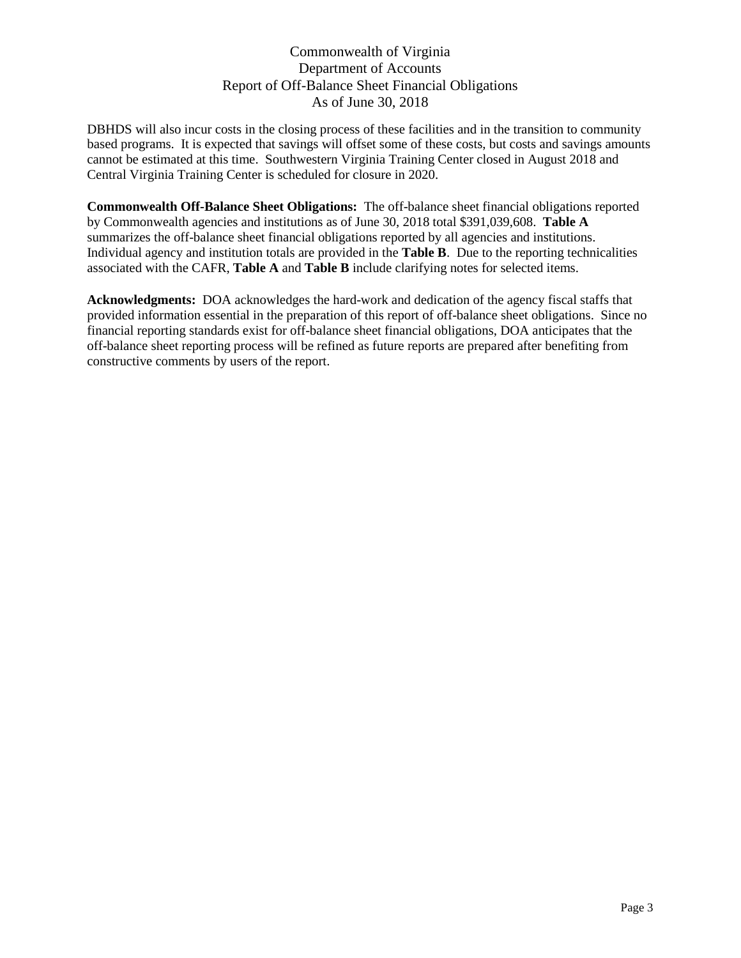DBHDS will also incur costs in the closing process of these facilities and in the transition to community based programs. It is expected that savings will offset some of these costs, but costs and savings amounts cannot be estimated at this time. Southwestern Virginia Training Center closed in August 2018 and Central Virginia Training Center is scheduled for closure in 2020.

**Commonwealth Off-Balance Sheet Obligations:** The off-balance sheet financial obligations reported by Commonwealth agencies and institutions as of June 30, 2018 total \$391,039,608. **Table A** summarizes the off-balance sheet financial obligations reported by all agencies and institutions. Individual agency and institution totals are provided in the **Table B**. Due to the reporting technicalities associated with the CAFR, **Table A** and **Table B** include clarifying notes for selected items.

**Acknowledgments:** DOA acknowledges the hard-work and dedication of the agency fiscal staffs that provided information essential in the preparation of this report of off-balance sheet obligations. Since no financial reporting standards exist for off-balance sheet financial obligations, DOA anticipates that the off-balance sheet reporting process will be refined as future reports are prepared after benefiting from constructive comments by users of the report.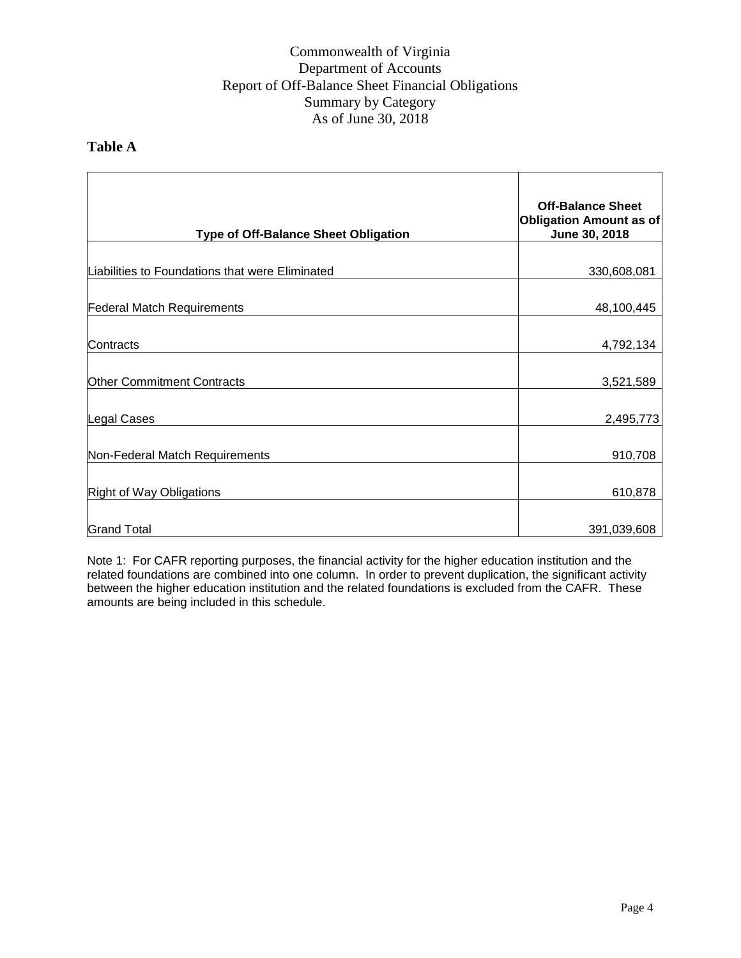#### **Table A**

| <b>Type of Off-Balance Sheet Obligation</b>     | <b>Off-Balance Sheet</b><br>Obligation Amount as of<br>June 30, 2018 |
|-------------------------------------------------|----------------------------------------------------------------------|
| Liabilities to Foundations that were Eliminated | 330,608,081                                                          |
| <b>Federal Match Requirements</b>               | 48,100,445                                                           |
| Contracts                                       | 4,792,134                                                            |
| <b>Other Commitment Contracts</b>               | 3,521,589                                                            |
| Legal Cases                                     | 2,495,773                                                            |
| Non-Federal Match Requirements                  | 910,708                                                              |
| <b>Right of Way Obligations</b>                 | 610,878                                                              |
| <b>Grand Total</b>                              | 391,039,608                                                          |

Note 1: For CAFR reporting purposes, the financial activity for the higher education institution and the related foundations are combined into one column. In order to prevent duplication, the significant activity related between the higher education institution and the related foundations is excluded from the CAFR. These amounts are being included in this schedule.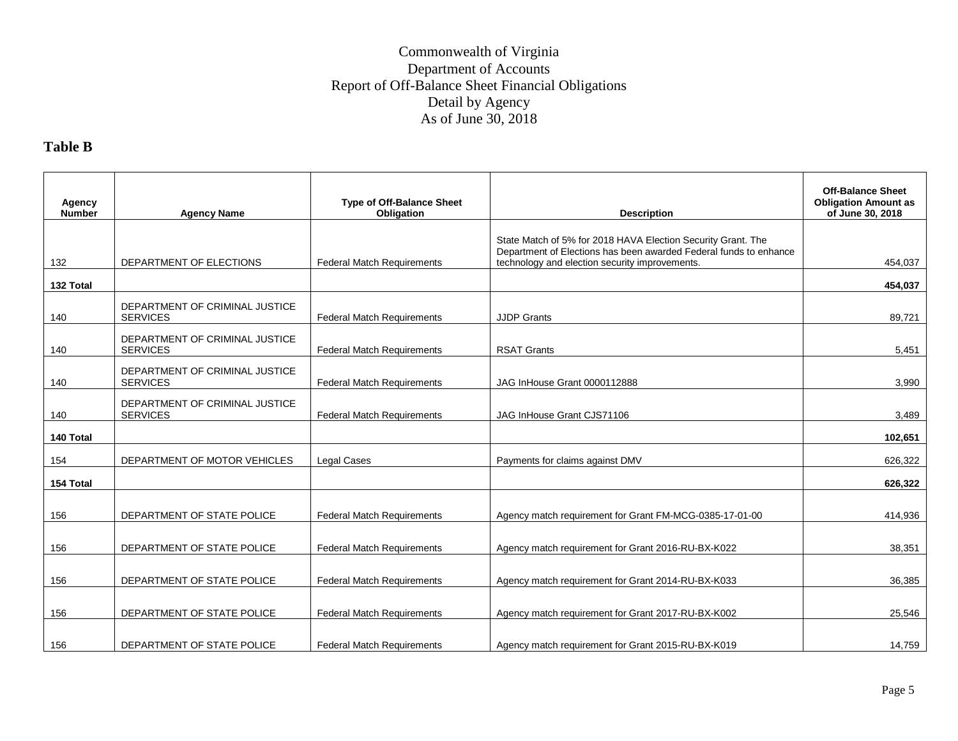# **Table B**

| Agency<br><b>Number</b> | <b>Agency Name</b>                                | <b>Type of Off-Balance Sheet</b><br>Obligation | <b>Description</b>                                                                                                                                                                  | <b>Off-Balance Sheet</b><br><b>Obligation Amount as</b><br>of June 30, 2018 |
|-------------------------|---------------------------------------------------|------------------------------------------------|-------------------------------------------------------------------------------------------------------------------------------------------------------------------------------------|-----------------------------------------------------------------------------|
| 132                     | DEPARTMENT OF ELECTIONS                           | <b>Federal Match Requirements</b>              | State Match of 5% for 2018 HAVA Election Security Grant. The<br>Department of Elections has been awarded Federal funds to enhance<br>technology and election security improvements. | 454,037                                                                     |
| 132 Total               |                                                   |                                                |                                                                                                                                                                                     | 454,037                                                                     |
| 140                     | DEPARTMENT OF CRIMINAL JUSTICE<br><b>SERVICES</b> | <b>Federal Match Requirements</b>              | <b>JJDP Grants</b>                                                                                                                                                                  | 89,721                                                                      |
| 140                     | DEPARTMENT OF CRIMINAL JUSTICE<br><b>SERVICES</b> | <b>Federal Match Requirements</b>              | <b>RSAT Grants</b>                                                                                                                                                                  | 5,451                                                                       |
| 140                     | DEPARTMENT OF CRIMINAL JUSTICE<br><b>SERVICES</b> | <b>Federal Match Requirements</b>              | JAG InHouse Grant 0000112888                                                                                                                                                        | 3,990                                                                       |
| 140                     | DEPARTMENT OF CRIMINAL JUSTICE<br><b>SERVICES</b> | <b>Federal Match Requirements</b>              | JAG InHouse Grant CJS71106                                                                                                                                                          | 3,489                                                                       |
| 140 Total               |                                                   |                                                |                                                                                                                                                                                     | 102,651                                                                     |
| 154                     | DEPARTMENT OF MOTOR VEHICLES                      | <b>Legal Cases</b>                             | Payments for claims against DMV                                                                                                                                                     | 626,322                                                                     |
| 154 Total               |                                                   |                                                |                                                                                                                                                                                     | 626,322                                                                     |
| 156                     | DEPARTMENT OF STATE POLICE                        | <b>Federal Match Requirements</b>              | Agency match requirement for Grant FM-MCG-0385-17-01-00                                                                                                                             | 414,936                                                                     |
| 156                     | DEPARTMENT OF STATE POLICE                        | <b>Federal Match Requirements</b>              | Agency match requirement for Grant 2016-RU-BX-K022                                                                                                                                  | 38,351                                                                      |
| 156                     | DEPARTMENT OF STATE POLICE                        | <b>Federal Match Requirements</b>              | Agency match requirement for Grant 2014-RU-BX-K033                                                                                                                                  | 36,385                                                                      |
| 156                     | DEPARTMENT OF STATE POLICE                        | <b>Federal Match Requirements</b>              | Agency match requirement for Grant 2017-RU-BX-K002                                                                                                                                  | 25,546                                                                      |
| 156                     | DEPARTMENT OF STATE POLICE                        | <b>Federal Match Requirements</b>              | Agency match requirement for Grant 2015-RU-BX-K019                                                                                                                                  | 14.759                                                                      |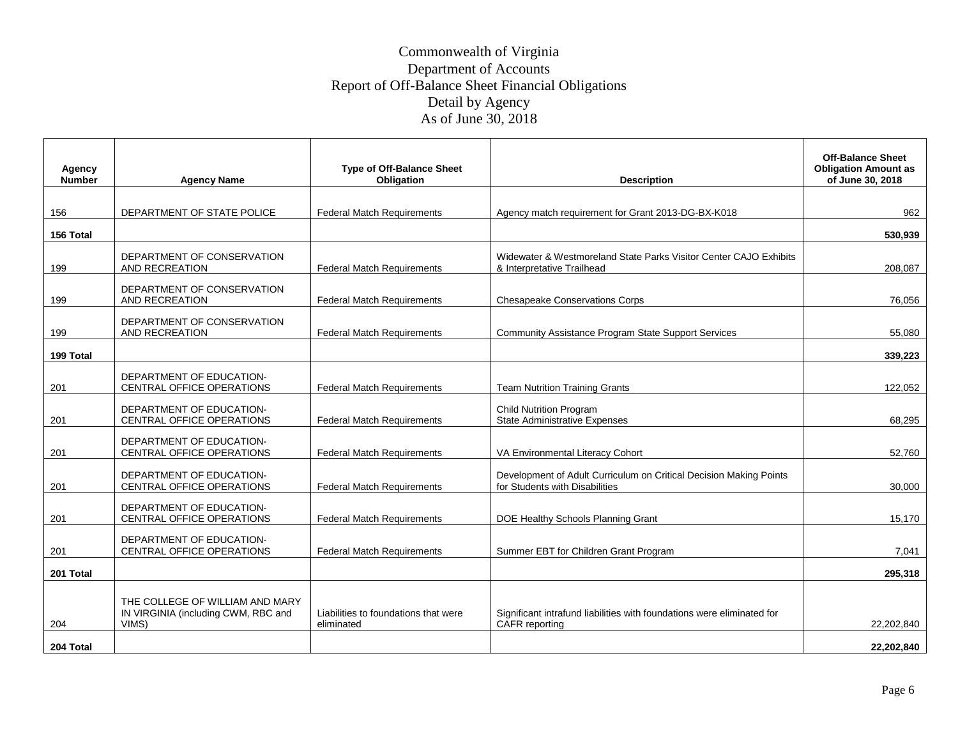| Agency<br><b>Number</b> | <b>Agency Name</b>                                                              | <b>Type of Off-Balance Sheet</b><br>Obligation     | <b>Description</b>                                                                                   | <b>Off-Balance Sheet</b><br><b>Obligation Amount as</b><br>of June 30, 2018 |
|-------------------------|---------------------------------------------------------------------------------|----------------------------------------------------|------------------------------------------------------------------------------------------------------|-----------------------------------------------------------------------------|
|                         |                                                                                 |                                                    |                                                                                                      |                                                                             |
| 156                     | DEPARTMENT OF STATE POLICE                                                      | <b>Federal Match Requirements</b>                  | Agency match requirement for Grant 2013-DG-BX-K018                                                   | 962                                                                         |
| 156 Total               |                                                                                 |                                                    |                                                                                                      | 530.939                                                                     |
| 199                     | DEPARTMENT OF CONSERVATION<br>AND RECREATION                                    | <b>Federal Match Requirements</b>                  | Widewater & Westmoreland State Parks Visitor Center CAJO Exhibits<br>& Interpretative Trailhead      | 208,087                                                                     |
| 199                     | DEPARTMENT OF CONSERVATION<br>AND RECREATION                                    | Federal Match Requirements                         | <b>Chesapeake Conservations Corps</b>                                                                | 76,056                                                                      |
| 199                     | DEPARTMENT OF CONSERVATION<br>AND RECREATION                                    | Federal Match Requirements                         | <b>Community Assistance Program State Support Services</b>                                           | 55,080                                                                      |
| 199 Total               |                                                                                 |                                                    |                                                                                                      | 339,223                                                                     |
| 201                     | DEPARTMENT OF EDUCATION-<br>CENTRAL OFFICE OPERATIONS                           | <b>Federal Match Requirements</b>                  | <b>Team Nutrition Training Grants</b>                                                                | 122,052                                                                     |
| 201                     | DEPARTMENT OF EDUCATION-<br>CENTRAL OFFICE OPERATIONS                           | <b>Federal Match Requirements</b>                  | <b>Child Nutrition Program</b><br><b>State Administrative Expenses</b>                               | 68,295                                                                      |
| 201                     | DEPARTMENT OF EDUCATION-<br>CENTRAL OFFICE OPERATIONS                           | <b>Federal Match Requirements</b>                  | VA Environmental Literacy Cohort                                                                     | 52.760                                                                      |
| 201                     | DEPARTMENT OF EDUCATION-<br>CENTRAL OFFICE OPERATIONS                           | <b>Federal Match Requirements</b>                  | Development of Adult Curriculum on Critical Decision Making Points<br>for Students with Disabilities | 30,000                                                                      |
| 201                     | DEPARTMENT OF EDUCATION-<br>CENTRAL OFFICE OPERATIONS                           | <b>Federal Match Requirements</b>                  | DOE Healthy Schools Planning Grant                                                                   | 15,170                                                                      |
| 201                     | DEPARTMENT OF EDUCATION-<br>CENTRAL OFFICE OPERATIONS                           | <b>Federal Match Requirements</b>                  | Summer EBT for Children Grant Program                                                                | 7.041                                                                       |
| 201 Total               |                                                                                 |                                                    |                                                                                                      | 295,318                                                                     |
| 204                     | THE COLLEGE OF WILLIAM AND MARY<br>IN VIRGINIA (including CWM, RBC and<br>VIMS) | Liabilities to foundations that were<br>eliminated | Significant intrafund liabilities with foundations were eliminated for<br>CAFR reporting             | 22,202,840                                                                  |
| 204 Total               |                                                                                 |                                                    |                                                                                                      | 22,202,840                                                                  |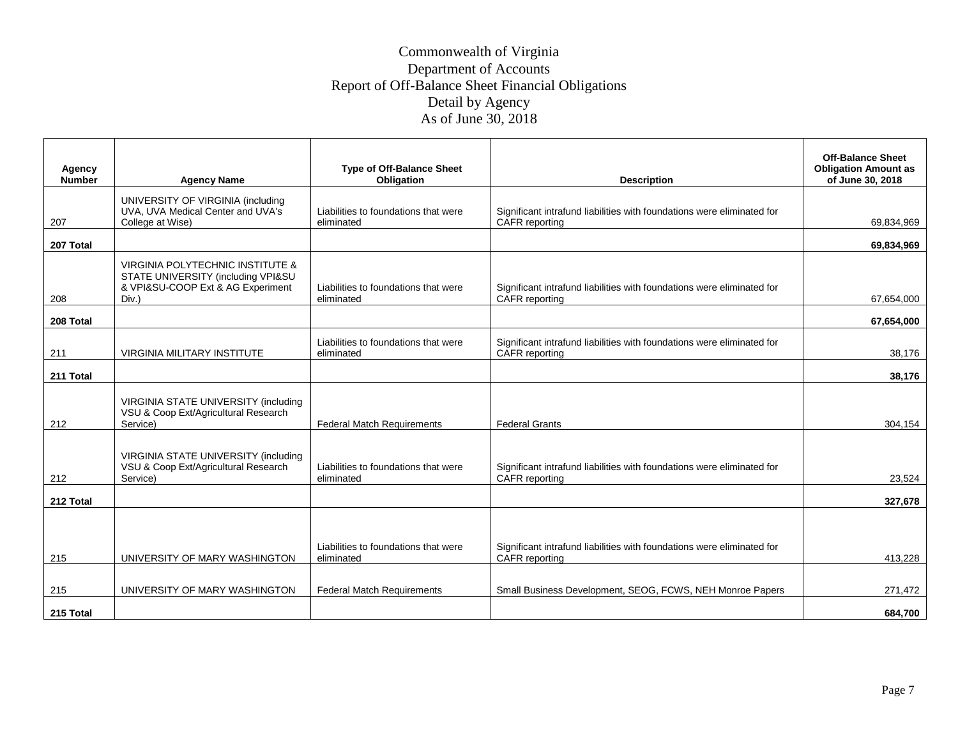| Agency<br><b>Number</b> | <b>Agency Name</b>                                                                                                              | <b>Type of Off-Balance Sheet</b><br>Obligation     | <b>Description</b>                                                                       | <b>Off-Balance Sheet</b><br><b>Obligation Amount as</b><br>of June 30, 2018 |
|-------------------------|---------------------------------------------------------------------------------------------------------------------------------|----------------------------------------------------|------------------------------------------------------------------------------------------|-----------------------------------------------------------------------------|
| 207                     | UNIVERSITY OF VIRGINIA (including<br>UVA, UVA Medical Center and UVA's<br>College at Wise)                                      | Liabilities to foundations that were<br>eliminated | Significant intrafund liabilities with foundations were eliminated for<br>CAFR reporting | 69,834,969                                                                  |
| 207 Total               |                                                                                                                                 |                                                    |                                                                                          | 69,834,969                                                                  |
| 208                     | <b>VIRGINIA POLYTECHNIC INSTITUTE &amp;</b><br>STATE UNIVERSITY (including VPI&SU<br>& VPI&SU-COOP Ext & AG Experiment<br>Div.) | Liabilities to foundations that were<br>eliminated | Significant intrafund liabilities with foundations were eliminated for<br>CAFR reporting | 67,654,000                                                                  |
| 208 Total               |                                                                                                                                 |                                                    |                                                                                          | 67,654,000                                                                  |
| 211                     | VIRGINIA MILITARY INSTITUTE                                                                                                     | Liabilities to foundations that were<br>eliminated | Significant intrafund liabilities with foundations were eliminated for<br>CAFR reporting | 38,176                                                                      |
| 211 Total               |                                                                                                                                 |                                                    |                                                                                          | 38,176                                                                      |
| 212                     | VIRGINIA STATE UNIVERSITY (including<br>VSU & Coop Ext/Agricultural Research<br>Service)                                        | <b>Federal Match Requirements</b>                  | <b>Federal Grants</b>                                                                    | 304,154                                                                     |
| 212                     | VIRGINIA STATE UNIVERSITY (including<br>VSU & Coop Ext/Agricultural Research<br>Service)                                        | Liabilities to foundations that were<br>eliminated | Significant intrafund liabilities with foundations were eliminated for<br>CAFR reporting | 23,524                                                                      |
| 212 Total               |                                                                                                                                 |                                                    |                                                                                          | 327,678                                                                     |
| 215                     | UNIVERSITY OF MARY WASHINGTON                                                                                                   | Liabilities to foundations that were<br>eliminated | Significant intrafund liabilities with foundations were eliminated for<br>CAFR reporting | 413,228                                                                     |
| 215                     | UNIVERSITY OF MARY WASHINGTON                                                                                                   | <b>Federal Match Requirements</b>                  | Small Business Development, SEOG, FCWS, NEH Monroe Papers                                | 271,472                                                                     |
| 215 Total               |                                                                                                                                 |                                                    |                                                                                          | 684,700                                                                     |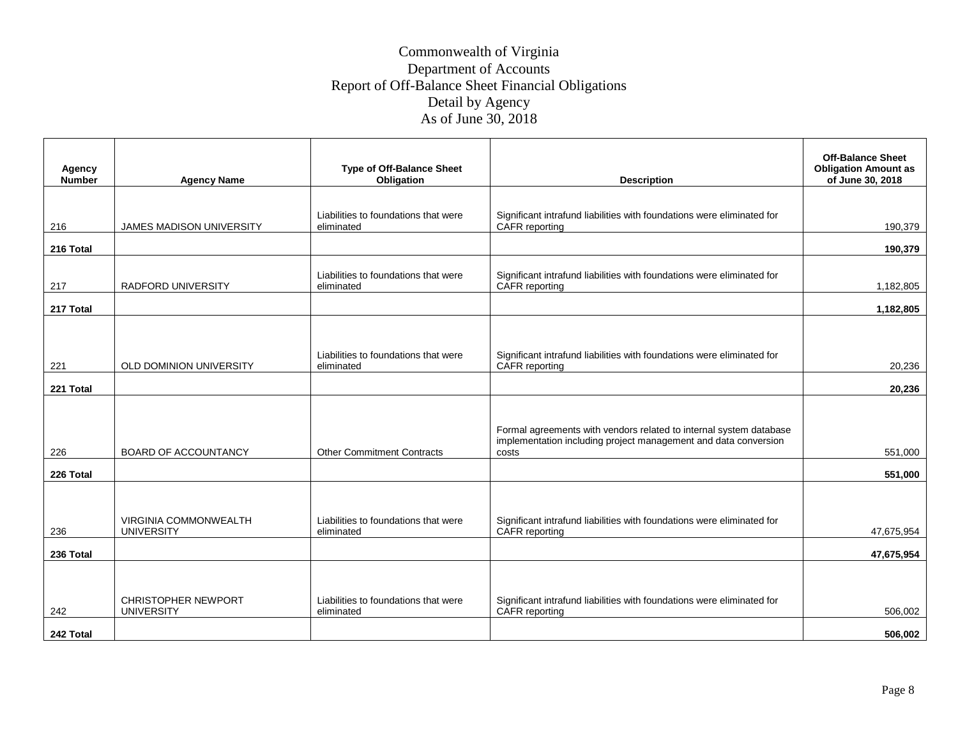| Agency<br><b>Number</b> | <b>Agency Name</b>                                | <b>Type of Off-Balance Sheet</b><br>Obligation     | <b>Description</b>                                                                                                                             | <b>Off-Balance Sheet</b><br><b>Obligation Amount as</b><br>of June 30, 2018 |
|-------------------------|---------------------------------------------------|----------------------------------------------------|------------------------------------------------------------------------------------------------------------------------------------------------|-----------------------------------------------------------------------------|
|                         |                                                   |                                                    |                                                                                                                                                |                                                                             |
|                         |                                                   | Liabilities to foundations that were               | Significant intrafund liabilities with foundations were eliminated for                                                                         |                                                                             |
| 216                     | JAMES MADISON UNIVERSITY                          | eliminated                                         | CAFR reporting                                                                                                                                 | 190,379                                                                     |
| 216 Total               |                                                   |                                                    |                                                                                                                                                | 190,379                                                                     |
| 217                     | RADFORD UNIVERSITY                                | Liabilities to foundations that were<br>eliminated | Significant intrafund liabilities with foundations were eliminated for<br>CAFR reporting                                                       | 1,182,805                                                                   |
| 217 Total               |                                                   |                                                    |                                                                                                                                                | 1,182,805                                                                   |
| 221                     | OLD DOMINION UNIVERSITY                           | Liabilities to foundations that were<br>eliminated | Significant intrafund liabilities with foundations were eliminated for<br>CAFR reporting                                                       | 20,236                                                                      |
| 221 Total               |                                                   |                                                    |                                                                                                                                                | 20,236                                                                      |
| 226                     | <b>BOARD OF ACCOUNTANCY</b>                       | <b>Other Commitment Contracts</b>                  | Formal agreements with vendors related to internal system database<br>implementation including project management and data conversion<br>costs | 551,000                                                                     |
| 226 Total               |                                                   |                                                    |                                                                                                                                                | 551,000                                                                     |
| 236                     | <b>VIRGINIA COMMONWEALTH</b><br><b>UNIVERSITY</b> | Liabilities to foundations that were<br>eliminated | Significant intrafund liabilities with foundations were eliminated for<br>CAFR reporting                                                       | 47,675,954                                                                  |
| 236 Total               |                                                   |                                                    |                                                                                                                                                | 47,675,954                                                                  |
| 242<br>242 Total        | <b>CHRISTOPHER NEWPORT</b><br><b>UNIVERSITY</b>   | Liabilities to foundations that were<br>eliminated | Significant intrafund liabilities with foundations were eliminated for<br>CAFR reporting                                                       | 506,002<br>506,002                                                          |
|                         |                                                   |                                                    |                                                                                                                                                |                                                                             |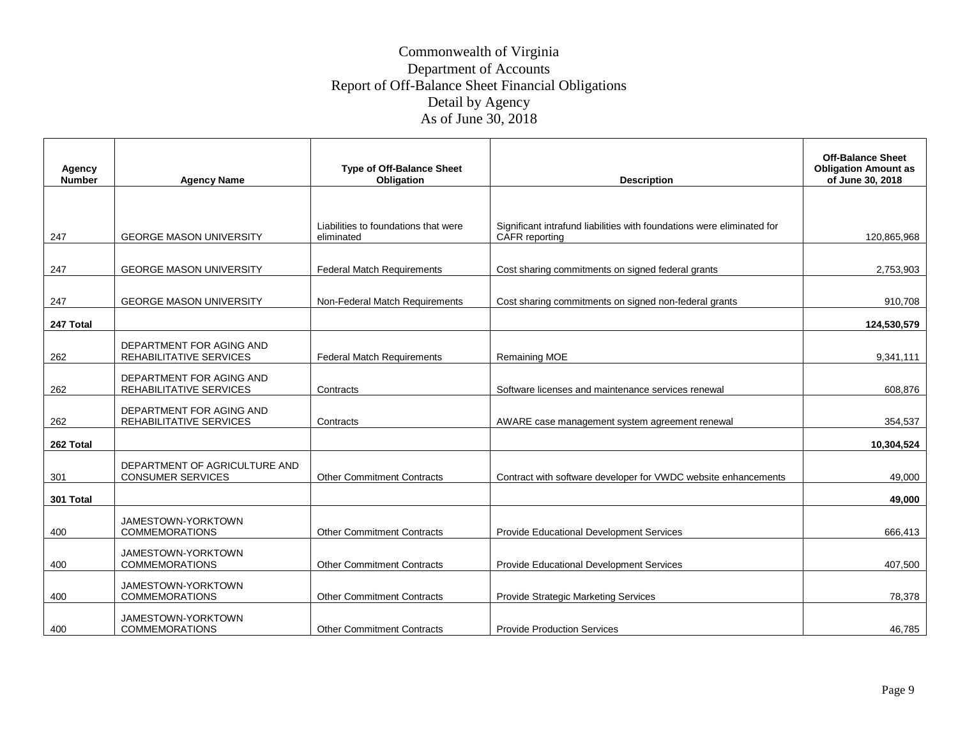| Agency<br><b>Number</b> | <b>Agency Name</b>                                        | <b>Type of Off-Balance Sheet</b><br>Obligation     | <b>Description</b>                                                                       | <b>Off-Balance Sheet</b><br><b>Obligation Amount as</b><br>of June 30, 2018 |
|-------------------------|-----------------------------------------------------------|----------------------------------------------------|------------------------------------------------------------------------------------------|-----------------------------------------------------------------------------|
|                         |                                                           |                                                    |                                                                                          |                                                                             |
| 247                     | <b>GEORGE MASON UNIVERSITY</b>                            | Liabilities to foundations that were<br>eliminated | Significant intrafund liabilities with foundations were eliminated for<br>CAFR reporting | 120,865,968                                                                 |
| 247                     | <b>GEORGE MASON UNIVERSITY</b>                            | <b>Federal Match Requirements</b>                  | Cost sharing commitments on signed federal grants                                        | 2,753,903                                                                   |
| 247                     | <b>GEORGE MASON UNIVERSITY</b>                            | Non-Federal Match Requirements                     | Cost sharing commitments on signed non-federal grants                                    | 910,708                                                                     |
| 247 Total               |                                                           |                                                    |                                                                                          | 124,530,579                                                                 |
| 262                     | DEPARTMENT FOR AGING AND<br>REHABILITATIVE SERVICES       | <b>Federal Match Requirements</b>                  | Remaining MOE                                                                            | 9,341,111                                                                   |
| 262                     | DEPARTMENT FOR AGING AND<br>REHABILITATIVE SERVICES       | Contracts                                          | Software licenses and maintenance services renewal                                       | 608,876                                                                     |
| 262                     | DEPARTMENT FOR AGING AND<br>REHABILITATIVE SERVICES       | Contracts                                          | AWARE case management system agreement renewal                                           | 354,537                                                                     |
| 262 Total               |                                                           |                                                    |                                                                                          | 10,304,524                                                                  |
| 301                     | DEPARTMENT OF AGRICULTURE AND<br><b>CONSUMER SERVICES</b> | <b>Other Commitment Contracts</b>                  | Contract with software developer for VWDC website enhancements                           | 49.000                                                                      |
| 301 Total               |                                                           |                                                    |                                                                                          | 49,000                                                                      |
| 400                     | JAMESTOWN-YORKTOWN<br><b>COMMEMORATIONS</b>               | <b>Other Commitment Contracts</b>                  | <b>Provide Educational Development Services</b>                                          | 666,413                                                                     |
| 400                     | JAMESTOWN-YORKTOWN<br><b>COMMEMORATIONS</b>               | <b>Other Commitment Contracts</b>                  | Provide Educational Development Services                                                 | 407,500                                                                     |
| 400                     | JAMESTOWN-YORKTOWN<br><b>COMMEMORATIONS</b>               | <b>Other Commitment Contracts</b>                  | Provide Strategic Marketing Services                                                     | 78,378                                                                      |
| 400                     | JAMESTOWN-YORKTOWN<br><b>COMMEMORATIONS</b>               | <b>Other Commitment Contracts</b>                  | <b>Provide Production Services</b>                                                       | 46,785                                                                      |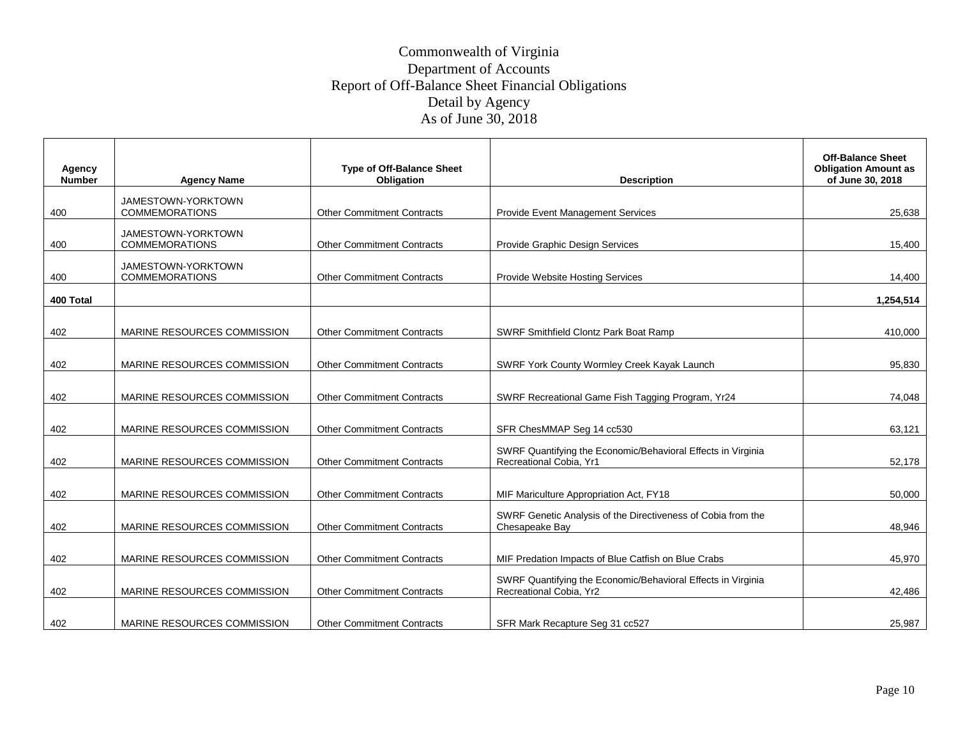| Agency<br><b>Number</b> | <b>Agency Name</b>                          | <b>Type of Off-Balance Sheet</b><br>Obligation | <b>Description</b>                                                                      | <b>Off-Balance Sheet</b><br><b>Obligation Amount as</b><br>of June 30, 2018 |
|-------------------------|---------------------------------------------|------------------------------------------------|-----------------------------------------------------------------------------------------|-----------------------------------------------------------------------------|
| 400                     | JAMESTOWN-YORKTOWN<br><b>COMMEMORATIONS</b> | <b>Other Commitment Contracts</b>              | Provide Event Management Services                                                       | 25,638                                                                      |
| 400                     | JAMESTOWN-YORKTOWN<br><b>COMMEMORATIONS</b> | <b>Other Commitment Contracts</b>              | Provide Graphic Design Services                                                         | 15,400                                                                      |
| 400                     | JAMESTOWN-YORKTOWN<br><b>COMMEMORATIONS</b> | <b>Other Commitment Contracts</b>              | Provide Website Hosting Services                                                        | 14,400                                                                      |
| 400 Total               |                                             |                                                |                                                                                         | 1,254,514                                                                   |
| 402                     | MARINE RESOURCES COMMISSION                 | <b>Other Commitment Contracts</b>              | SWRF Smithfield Clontz Park Boat Ramp                                                   | 410,000                                                                     |
| 402                     | MARINE RESOURCES COMMISSION                 | <b>Other Commitment Contracts</b>              | SWRF York County Wormley Creek Kayak Launch                                             | 95,830                                                                      |
| 402                     | MARINE RESOURCES COMMISSION                 | <b>Other Commitment Contracts</b>              | SWRF Recreational Game Fish Tagging Program, Yr24                                       | 74,048                                                                      |
| 402                     | MARINE RESOURCES COMMISSION                 | <b>Other Commitment Contracts</b>              | SFR ChesMMAP Seg 14 cc530                                                               | 63,121                                                                      |
| 402                     | MARINE RESOURCES COMMISSION                 | <b>Other Commitment Contracts</b>              | SWRF Quantifying the Economic/Behavioral Effects in Virginia<br>Recreational Cobia, Yr1 | 52,178                                                                      |
| 402                     | MARINE RESOURCES COMMISSION                 | <b>Other Commitment Contracts</b>              | MIF Mariculture Appropriation Act, FY18                                                 | 50,000                                                                      |
| 402                     | MARINE RESOURCES COMMISSION                 | <b>Other Commitment Contracts</b>              | SWRF Genetic Analysis of the Directiveness of Cobia from the<br>Chesapeake Bay          | 48,946                                                                      |
| 402                     | MARINE RESOURCES COMMISSION                 | <b>Other Commitment Contracts</b>              | MIF Predation Impacts of Blue Catfish on Blue Crabs                                     | 45,970                                                                      |
| 402                     | MARINE RESOURCES COMMISSION                 | <b>Other Commitment Contracts</b>              | SWRF Quantifying the Economic/Behavioral Effects in Virginia<br>Recreational Cobia, Yr2 | 42,486                                                                      |
| 402                     | MARINE RESOURCES COMMISSION                 | <b>Other Commitment Contracts</b>              | SFR Mark Recapture Seg 31 cc527                                                         | 25.987                                                                      |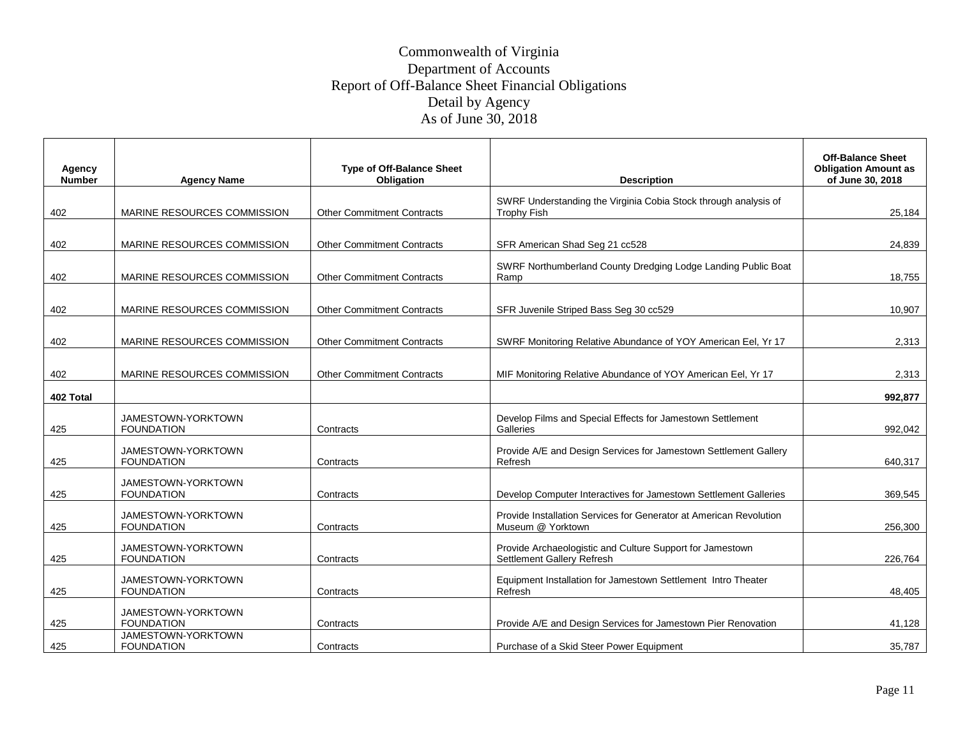| Agency<br><b>Number</b> | <b>Agency Name</b>                      | <b>Type of Off-Balance Sheet</b><br>Obligation | <b>Description</b>                                                                      | <b>Off-Balance Sheet</b><br><b>Obligation Amount as</b><br>of June 30, 2018 |
|-------------------------|-----------------------------------------|------------------------------------------------|-----------------------------------------------------------------------------------------|-----------------------------------------------------------------------------|
| 402                     | MARINE RESOURCES COMMISSION             | <b>Other Commitment Contracts</b>              | SWRF Understanding the Virginia Cobia Stock through analysis of<br><b>Trophy Fish</b>   | 25,184                                                                      |
| 402                     | MARINE RESOURCES COMMISSION             | <b>Other Commitment Contracts</b>              | SFR American Shad Seg 21 cc528                                                          | 24,839                                                                      |
| 402                     | MARINE RESOURCES COMMISSION             | <b>Other Commitment Contracts</b>              | SWRF Northumberland County Dredging Lodge Landing Public Boat<br>Ramp                   | 18,755                                                                      |
| 402                     | MARINE RESOURCES COMMISSION             | <b>Other Commitment Contracts</b>              | SFR Juvenile Striped Bass Seg 30 cc529                                                  | 10,907                                                                      |
| 402                     | MARINE RESOURCES COMMISSION             | <b>Other Commitment Contracts</b>              | SWRF Monitoring Relative Abundance of YOY American Eel, Yr 17                           | 2,313                                                                       |
| 402                     | MARINE RESOURCES COMMISSION             | <b>Other Commitment Contracts</b>              | MIF Monitoring Relative Abundance of YOY American Eel, Yr 17                            | 2,313                                                                       |
| 402 Total               |                                         |                                                |                                                                                         | 992,877                                                                     |
| 425                     | JAMESTOWN-YORKTOWN<br><b>FOUNDATION</b> | Contracts                                      | Develop Films and Special Effects for Jamestown Settlement<br>Galleries                 | 992,042                                                                     |
| 425                     | JAMESTOWN-YORKTOWN<br><b>FOUNDATION</b> | Contracts                                      | Provide A/E and Design Services for Jamestown Settlement Gallery<br>Refresh             | 640,317                                                                     |
| 425                     | JAMESTOWN-YORKTOWN<br><b>FOUNDATION</b> | Contracts                                      | Develop Computer Interactives for Jamestown Settlement Galleries                        | 369,545                                                                     |
| 425                     | JAMESTOWN-YORKTOWN<br><b>FOUNDATION</b> | Contracts                                      | Provide Installation Services for Generator at American Revolution<br>Museum @ Yorktown | 256,300                                                                     |
| 425                     | JAMESTOWN-YORKTOWN<br><b>FOUNDATION</b> | Contracts                                      | Provide Archaeologistic and Culture Support for Jamestown<br>Settlement Gallery Refresh | 226,764                                                                     |
| 425                     | JAMESTOWN-YORKTOWN<br><b>FOUNDATION</b> | Contracts                                      | Equipment Installation for Jamestown Settlement Intro Theater<br>Refresh                | 48,405                                                                      |
| 425                     | JAMESTOWN-YORKTOWN<br><b>FOUNDATION</b> | Contracts                                      | Provide A/E and Design Services for Jamestown Pier Renovation                           | 41,128                                                                      |
| 425                     | JAMESTOWN-YORKTOWN<br><b>FOUNDATION</b> | Contracts                                      | Purchase of a Skid Steer Power Equipment                                                | 35,787                                                                      |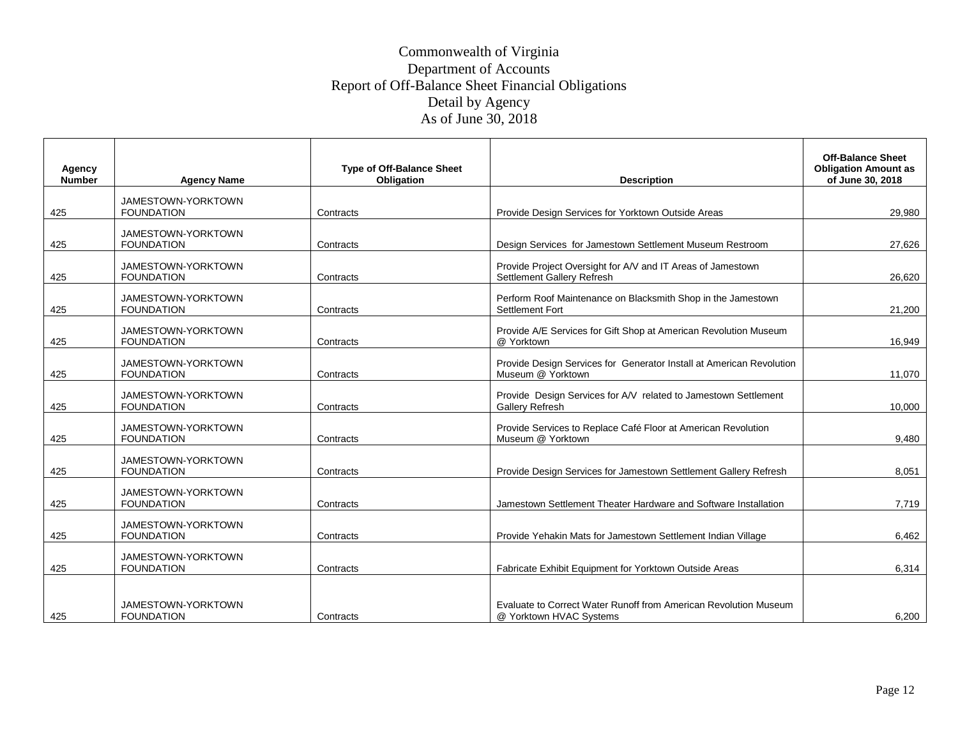| Agency<br><b>Number</b> | <b>Agency Name</b>                      | <b>Type of Off-Balance Sheet</b><br>Obligation | <b>Description</b>                                                                          | <b>Off-Balance Sheet</b><br><b>Obligation Amount as</b><br>of June 30, 2018 |
|-------------------------|-----------------------------------------|------------------------------------------------|---------------------------------------------------------------------------------------------|-----------------------------------------------------------------------------|
| 425                     | JAMESTOWN-YORKTOWN<br><b>FOUNDATION</b> | Contracts                                      | Provide Design Services for Yorktown Outside Areas                                          | 29,980                                                                      |
| 425                     | JAMESTOWN-YORKTOWN<br><b>FOUNDATION</b> | Contracts                                      | Design Services for Jamestown Settlement Museum Restroom                                    | 27,626                                                                      |
| 425                     | JAMESTOWN-YORKTOWN<br><b>FOUNDATION</b> | Contracts                                      | Provide Project Oversight for A/V and IT Areas of Jamestown<br>Settlement Gallery Refresh   | 26.620                                                                      |
| 425                     | JAMESTOWN-YORKTOWN<br><b>FOUNDATION</b> | Contracts                                      | Perform Roof Maintenance on Blacksmith Shop in the Jamestown<br>Settlement Fort             | 21,200                                                                      |
| 425                     | JAMESTOWN-YORKTOWN<br><b>FOUNDATION</b> | Contracts                                      | Provide A/E Services for Gift Shop at American Revolution Museum<br>@ Yorktown              | 16,949                                                                      |
| 425                     | JAMESTOWN-YORKTOWN<br><b>FOUNDATION</b> | Contracts                                      | Provide Design Services for Generator Install at American Revolution<br>Museum @ Yorktown   | 11.070                                                                      |
| 425                     | JAMESTOWN-YORKTOWN<br><b>FOUNDATION</b> | Contracts                                      | Provide Design Services for A/V related to Jamestown Settlement<br><b>Gallery Refresh</b>   | 10,000                                                                      |
| 425                     | JAMESTOWN-YORKTOWN<br><b>FOUNDATION</b> | Contracts                                      | Provide Services to Replace Café Floor at American Revolution<br>Museum @ Yorktown          | 9,480                                                                       |
| 425                     | JAMESTOWN-YORKTOWN<br><b>FOUNDATION</b> | Contracts                                      | Provide Design Services for Jamestown Settlement Gallery Refresh                            | 8,051                                                                       |
| 425                     | JAMESTOWN-YORKTOWN<br><b>FOUNDATION</b> | Contracts                                      | Jamestown Settlement Theater Hardware and Software Installation                             | 7,719                                                                       |
| 425                     | JAMESTOWN-YORKTOWN<br><b>FOUNDATION</b> | Contracts                                      | Provide Yehakin Mats for Jamestown Settlement Indian Village                                | 6,462                                                                       |
| 425                     | JAMESTOWN-YORKTOWN<br><b>FOUNDATION</b> | Contracts                                      | Fabricate Exhibit Equipment for Yorktown Outside Areas                                      | 6,314                                                                       |
| 425                     | JAMESTOWN-YORKTOWN<br><b>FOUNDATION</b> | Contracts                                      | Evaluate to Correct Water Runoff from American Revolution Museum<br>@ Yorktown HVAC Systems | 6,200                                                                       |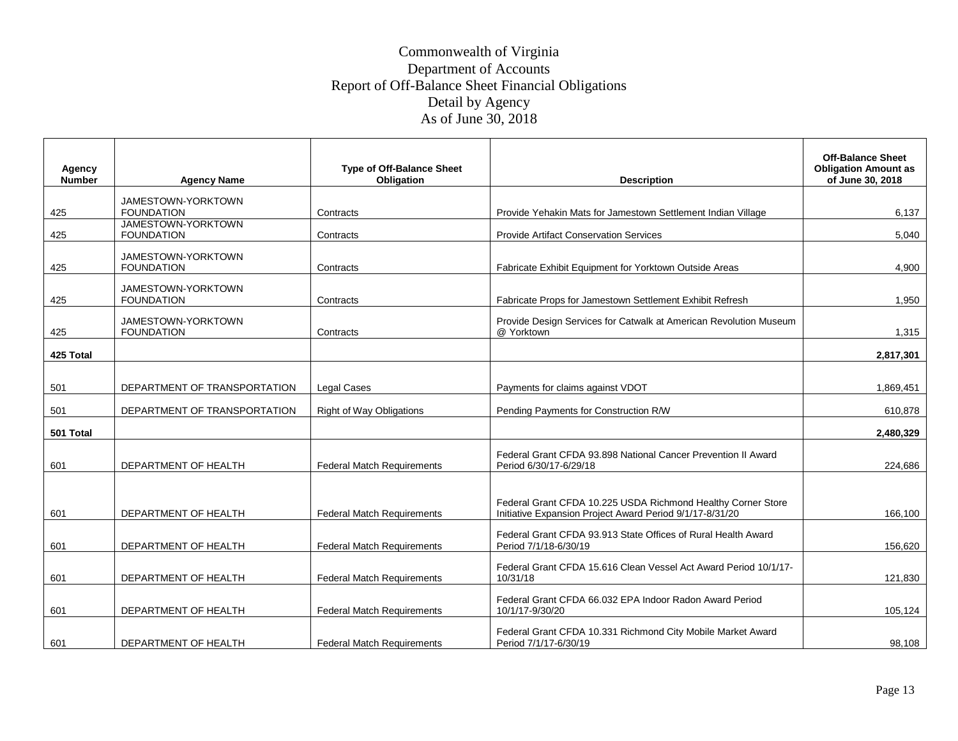| Agency<br><b>Number</b> | <b>Agency Name</b>                      | <b>Type of Off-Balance Sheet</b><br>Obligation | <b>Description</b>                                                                                                       | <b>Off-Balance Sheet</b><br><b>Obligation Amount as</b><br>of June 30, 2018 |
|-------------------------|-----------------------------------------|------------------------------------------------|--------------------------------------------------------------------------------------------------------------------------|-----------------------------------------------------------------------------|
|                         | JAMESTOWN-YORKTOWN                      |                                                |                                                                                                                          |                                                                             |
| 425                     | <b>FOUNDATION</b>                       | Contracts                                      | Provide Yehakin Mats for Jamestown Settlement Indian Village                                                             | 6,137                                                                       |
| 425                     | JAMESTOWN-YORKTOWN<br><b>FOUNDATION</b> | Contracts                                      | Provide Artifact Conservation Services                                                                                   | 5,040                                                                       |
| 425                     | JAMESTOWN-YORKTOWN<br><b>FOUNDATION</b> | Contracts                                      | Fabricate Exhibit Equipment for Yorktown Outside Areas                                                                   | 4,900                                                                       |
| 425                     | JAMESTOWN-YORKTOWN<br><b>FOUNDATION</b> | Contracts                                      | Fabricate Props for Jamestown Settlement Exhibit Refresh                                                                 | 1,950                                                                       |
| 425                     | JAMESTOWN-YORKTOWN<br><b>FOUNDATION</b> | Contracts                                      | Provide Design Services for Catwalk at American Revolution Museum<br>@ Yorktown                                          | 1,315                                                                       |
| 425 Total               |                                         |                                                |                                                                                                                          | 2,817,301                                                                   |
|                         |                                         |                                                |                                                                                                                          |                                                                             |
| 501                     | DEPARTMENT OF TRANSPORTATION            | Legal Cases                                    | Payments for claims against VDOT                                                                                         | 1,869,451                                                                   |
| 501                     | DEPARTMENT OF TRANSPORTATION            | <b>Right of Way Obligations</b>                | Pending Payments for Construction R/W                                                                                    | 610,878                                                                     |
| 501 Total               |                                         |                                                |                                                                                                                          | 2,480,329                                                                   |
| 601                     | DEPARTMENT OF HEALTH                    | <b>Federal Match Requirements</b>              | Federal Grant CFDA 93.898 National Cancer Prevention II Award<br>Period 6/30/17-6/29/18                                  | 224,686                                                                     |
|                         |                                         |                                                |                                                                                                                          |                                                                             |
| 601                     | DEPARTMENT OF HEALTH                    | <b>Federal Match Requirements</b>              | Federal Grant CFDA 10.225 USDA Richmond Healthy Corner Store<br>Initiative Expansion Project Award Period 9/1/17-8/31/20 | 166,100                                                                     |
| 601                     | DEPARTMENT OF HEALTH                    | <b>Federal Match Requirements</b>              | Federal Grant CFDA 93.913 State Offices of Rural Health Award<br>Period 7/1/18-6/30/19                                   | 156,620                                                                     |
| 601                     | DEPARTMENT OF HEALTH                    | Federal Match Requirements                     | Federal Grant CFDA 15.616 Clean Vessel Act Award Period 10/1/17-<br>10/31/18                                             | 121,830                                                                     |
| 601                     | DEPARTMENT OF HEALTH                    | <b>Federal Match Requirements</b>              | Federal Grant CFDA 66.032 EPA Indoor Radon Award Period<br>10/1/17-9/30/20                                               | 105,124                                                                     |
| 601                     | DEPARTMENT OF HEALTH                    | <b>Federal Match Requirements</b>              | Federal Grant CFDA 10.331 Richmond City Mobile Market Award<br>Period 7/1/17-6/30/19                                     | 98,108                                                                      |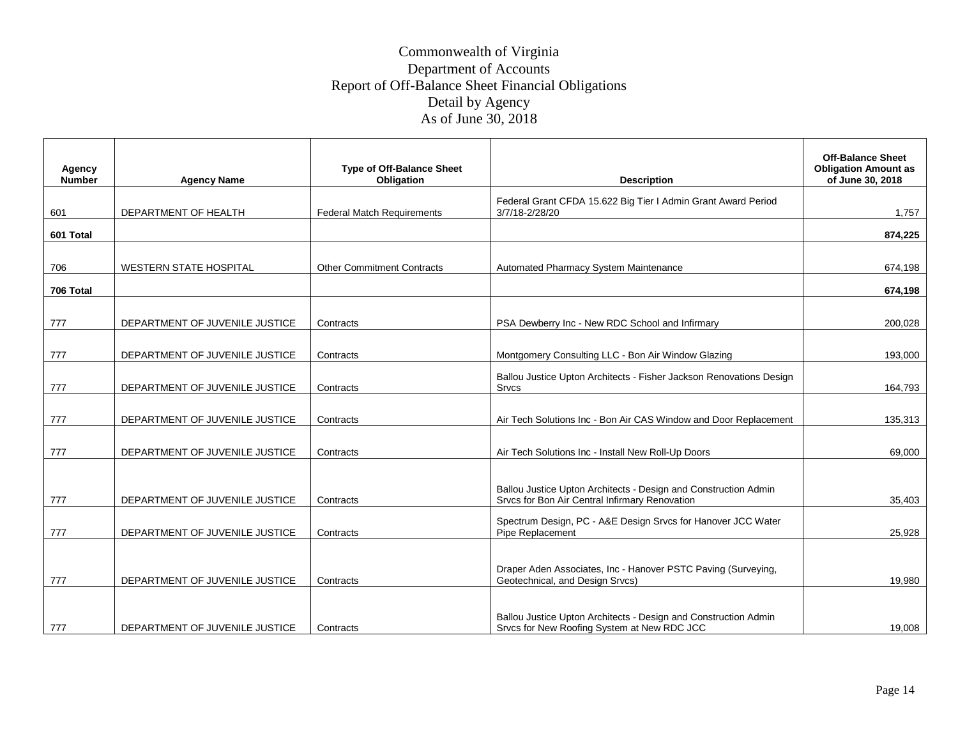| Agency<br><b>Number</b> | <b>Agency Name</b>             | <b>Type of Off-Balance Sheet</b><br>Obligation | <b>Description</b>                                                                                                | <b>Off-Balance Sheet</b><br><b>Obligation Amount as</b><br>of June 30, 2018 |
|-------------------------|--------------------------------|------------------------------------------------|-------------------------------------------------------------------------------------------------------------------|-----------------------------------------------------------------------------|
| 601                     | DEPARTMENT OF HEALTH           | <b>Federal Match Requirements</b>              | Federal Grant CFDA 15.622 Big Tier I Admin Grant Award Period<br>3/7/18-2/28/20                                   | 1,757                                                                       |
| 601 Total               |                                |                                                |                                                                                                                   | 874,225                                                                     |
| 706                     | <b>WESTERN STATE HOSPITAL</b>  | <b>Other Commitment Contracts</b>              | Automated Pharmacy System Maintenance                                                                             | 674,198                                                                     |
| 706 Total               |                                |                                                |                                                                                                                   | 674,198                                                                     |
| 777                     | DEPARTMENT OF JUVENILE JUSTICE | Contracts                                      | PSA Dewberry Inc - New RDC School and Infirmary                                                                   | 200,028                                                                     |
| 777                     | DEPARTMENT OF JUVENILE JUSTICE | Contracts                                      | Montgomery Consulting LLC - Bon Air Window Glazing                                                                | 193,000                                                                     |
| 777                     | DEPARTMENT OF JUVENILE JUSTICE | Contracts                                      | Ballou Justice Upton Architects - Fisher Jackson Renovations Design<br><b>Srvcs</b>                               | 164,793                                                                     |
| 777                     | DEPARTMENT OF JUVENILE JUSTICE | Contracts                                      | Air Tech Solutions Inc - Bon Air CAS Window and Door Replacement                                                  | 135,313                                                                     |
| 777                     | DEPARTMENT OF JUVENILE JUSTICE | Contracts                                      | Air Tech Solutions Inc - Install New Roll-Up Doors                                                                | 69,000                                                                      |
| 777                     | DEPARTMENT OF JUVENILE JUSTICE | Contracts                                      | Ballou Justice Upton Architects - Design and Construction Admin<br>Srvcs for Bon Air Central Infirmary Renovation | 35,403                                                                      |
| 777                     | DEPARTMENT OF JUVENILE JUSTICE | Contracts                                      | Spectrum Design, PC - A&E Design Srvcs for Hanover JCC Water<br><b>Pipe Replacement</b>                           | 25.928                                                                      |
| 777                     | DEPARTMENT OF JUVENILE JUSTICE | Contracts                                      | Draper Aden Associates, Inc - Hanover PSTC Paving (Surveying,<br>Geotechnical, and Design Srvcs)                  | 19.980                                                                      |
| 777                     | DEPARTMENT OF JUVENILE JUSTICE | Contracts                                      | Ballou Justice Upton Architects - Design and Construction Admin<br>Srvcs for New Roofing System at New RDC JCC    | 19,008                                                                      |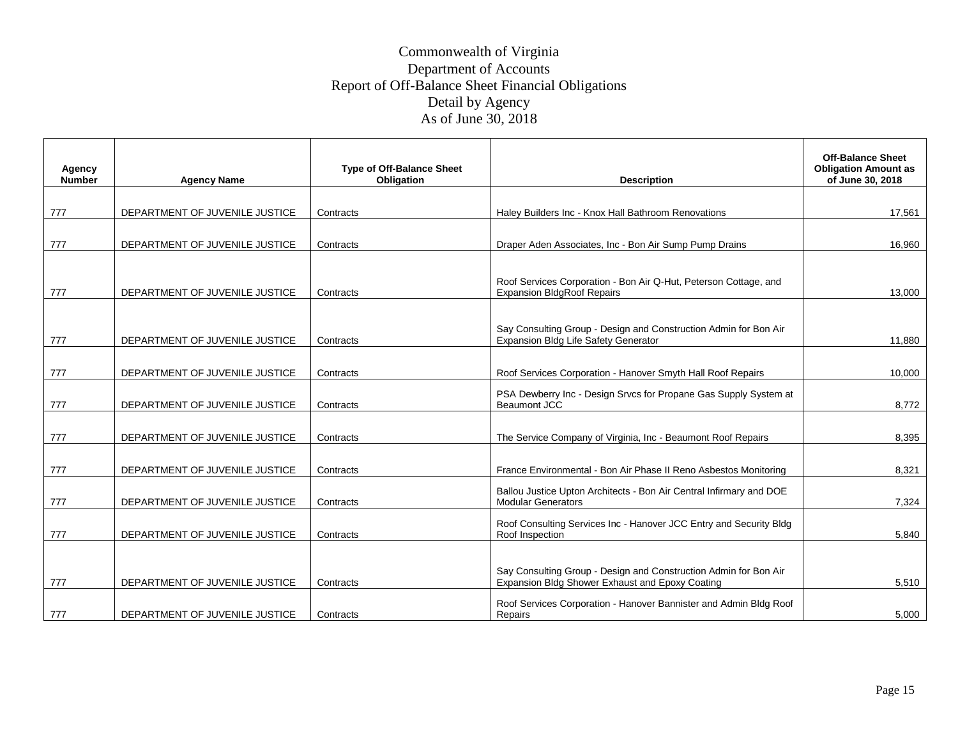| Agency<br><b>Number</b> | <b>Agency Name</b>             | <b>Type of Off-Balance Sheet</b><br>Obligation | <b>Description</b>                                                                                                  | <b>Off-Balance Sheet</b><br><b>Obligation Amount as</b><br>of June 30, 2018 |
|-------------------------|--------------------------------|------------------------------------------------|---------------------------------------------------------------------------------------------------------------------|-----------------------------------------------------------------------------|
|                         |                                |                                                |                                                                                                                     |                                                                             |
| 777                     | DEPARTMENT OF JUVENILE JUSTICE | Contracts                                      | Haley Builders Inc - Knox Hall Bathroom Renovations                                                                 | 17,561                                                                      |
|                         |                                |                                                |                                                                                                                     |                                                                             |
| 777                     | DEPARTMENT OF JUVENILE JUSTICE | Contracts                                      | Draper Aden Associates, Inc - Bon Air Sump Pump Drains                                                              | 16,960                                                                      |
| 777                     | DEPARTMENT OF JUVENILE JUSTICE | Contracts                                      | Roof Services Corporation - Bon Air Q-Hut, Peterson Cottage, and<br><b>Expansion BldgRoof Repairs</b>               | 13.000                                                                      |
| 777                     | DEPARTMENT OF JUVENILE JUSTICE | Contracts                                      | Say Consulting Group - Design and Construction Admin for Bon Air<br>Expansion Bldg Life Safety Generator            | 11,880                                                                      |
| 777                     | DEPARTMENT OF JUVENILE JUSTICE | Contracts                                      | Roof Services Corporation - Hanover Smyth Hall Roof Repairs                                                         | 10,000                                                                      |
| 777                     | DEPARTMENT OF JUVENILE JUSTICE | Contracts                                      | PSA Dewberry Inc - Design Srvcs for Propane Gas Supply System at<br>Beaumont JCC                                    | 8,772                                                                       |
| 777                     | DEPARTMENT OF JUVENILE JUSTICE | Contracts                                      | The Service Company of Virginia, Inc - Beaumont Roof Repairs                                                        | 8,395                                                                       |
| 777                     | DEPARTMENT OF JUVENILE JUSTICE | Contracts                                      | France Environmental - Bon Air Phase II Reno Asbestos Monitoring                                                    | 8,321                                                                       |
| 777                     | DEPARTMENT OF JUVENILE JUSTICE | Contracts                                      | Ballou Justice Upton Architects - Bon Air Central Infirmary and DOE<br><b>Modular Generators</b>                    | 7,324                                                                       |
| 777                     | DEPARTMENT OF JUVENILE JUSTICE | Contracts                                      | Roof Consulting Services Inc - Hanover JCC Entry and Security Bldg<br>Roof Inspection                               | 5,840                                                                       |
| 777                     | DEPARTMENT OF JUVENILE JUSTICE | Contracts                                      | Say Consulting Group - Design and Construction Admin for Bon Air<br>Expansion Bldg Shower Exhaust and Epoxy Coating | 5,510                                                                       |
| 777                     | DEPARTMENT OF JUVENILE JUSTICE | Contracts                                      | Roof Services Corporation - Hanover Bannister and Admin Bldg Roof<br>Repairs                                        | 5,000                                                                       |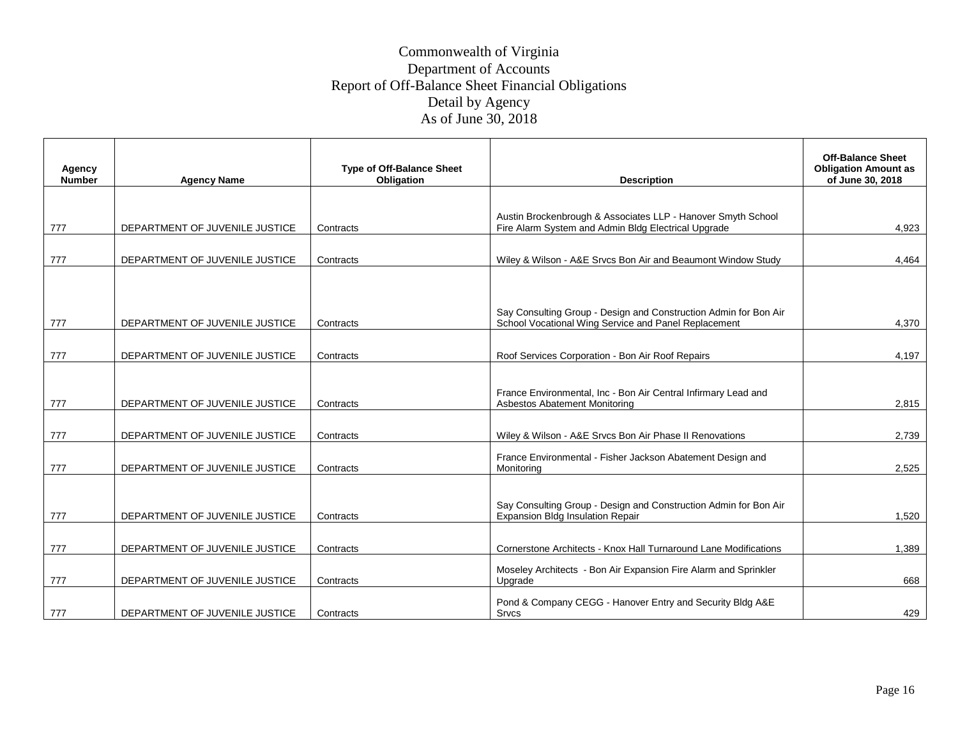| Agency<br><b>Number</b> | <b>Agency Name</b>             | <b>Type of Off-Balance Sheet</b><br>Obligation | <b>Description</b>                                                                                                       | <b>Off-Balance Sheet</b><br><b>Obligation Amount as</b><br>of June 30, 2018 |
|-------------------------|--------------------------------|------------------------------------------------|--------------------------------------------------------------------------------------------------------------------------|-----------------------------------------------------------------------------|
|                         |                                |                                                |                                                                                                                          |                                                                             |
| 777                     | DEPARTMENT OF JUVENILE JUSTICE | Contracts                                      | Austin Brockenbrough & Associates LLP - Hanover Smyth School<br>Fire Alarm System and Admin Bldg Electrical Upgrade      | 4,923                                                                       |
| 777                     | DEPARTMENT OF JUVENILE JUSTICE | Contracts                                      | Wiley & Wilson - A&E Srvcs Bon Air and Beaumont Window Study                                                             | 4,464                                                                       |
|                         |                                |                                                |                                                                                                                          |                                                                             |
| 777                     | DEPARTMENT OF JUVENILE JUSTICE | Contracts                                      | Say Consulting Group - Design and Construction Admin for Bon Air<br>School Vocational Wing Service and Panel Replacement | 4.370                                                                       |
|                         |                                |                                                |                                                                                                                          |                                                                             |
| 777                     | DEPARTMENT OF JUVENILE JUSTICE | Contracts                                      | Roof Services Corporation - Bon Air Roof Repairs                                                                         | 4.197                                                                       |
| 777                     | DEPARTMENT OF JUVENILE JUSTICE | Contracts                                      | France Environmental, Inc - Bon Air Central Infirmary Lead and<br>Asbestos Abatement Monitoring                          | 2,815                                                                       |
| 777                     | DEPARTMENT OF JUVENILE JUSTICE | Contracts                                      | Wiley & Wilson - A&E Srvcs Bon Air Phase II Renovations                                                                  | 2,739                                                                       |
|                         |                                |                                                |                                                                                                                          |                                                                             |
| 777                     | DEPARTMENT OF JUVENILE JUSTICE | Contracts                                      | France Environmental - Fisher Jackson Abatement Design and<br>Monitoring                                                 | 2,525                                                                       |
|                         |                                |                                                |                                                                                                                          |                                                                             |
| 777                     | DEPARTMENT OF JUVENILE JUSTICE | Contracts                                      | Say Consulting Group - Design and Construction Admin for Bon Air<br>Expansion Bldg Insulation Repair                     | 1,520                                                                       |
|                         |                                |                                                |                                                                                                                          |                                                                             |
| 777                     | DEPARTMENT OF JUVENILE JUSTICE | Contracts                                      | Cornerstone Architects - Knox Hall Turnaround Lane Modifications                                                         | 1.389                                                                       |
| 777                     | DEPARTMENT OF JUVENILE JUSTICE | Contracts                                      | Moseley Architects - Bon Air Expansion Fire Alarm and Sprinkler<br>Upgrade                                               | 668                                                                         |
| 777                     | DEPARTMENT OF JUVENILE JUSTICE | Contracts                                      | Pond & Company CEGG - Hanover Entry and Security Bldg A&E<br>Srvcs                                                       | 429                                                                         |